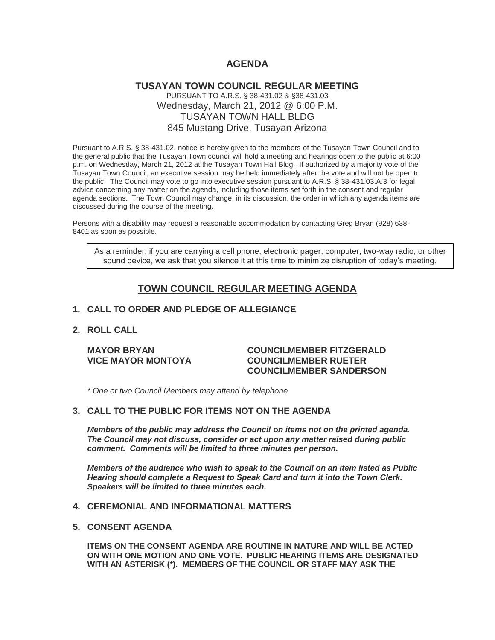## **AGENDA**

## **TUSAYAN TOWN COUNCIL REGULAR MEETING** PURSUANT TO A.R.S. § 38-431.02 & §38-431.03 Wednesday, March 21, 2012 @ 6:00 P.M. TUSAYAN TOWN HALL BLDG 845 Mustang Drive, Tusayan Arizona

Pursuant to A.R.S. § 38-431.02, notice is hereby given to the members of the Tusayan Town Council and to the general public that the Tusayan Town council will hold a meeting and hearings open to the public at 6:00 p.m. on Wednesday, March 21, 2012 at the Tusayan Town Hall Bldg. If authorized by a majority vote of the Tusayan Town Council, an executive session may be held immediately after the vote and will not be open to the public. The Council may vote to go into executive session pursuant to A.R.S. § 38-431.03.A.3 for legal advice concerning any matter on the agenda, including those items set forth in the consent and regular agenda sections. The Town Council may change, in its discussion, the order in which any agenda items are discussed during the course of the meeting.

Persons with a disability may request a reasonable accommodation by contacting Greg Bryan (928) 638- 8401 as soon as possible.

As a reminder, if you are carrying a cell phone, electronic pager, computer, two-way radio, or other sound device, we ask that you silence it at this time to minimize disruption of today's meeting.

# **TOWN COUNCIL REGULAR MEETING AGENDA**

#### **1. CALL TO ORDER AND PLEDGE OF ALLEGIANCE**

## **2. ROLL CALL**

#### **MAYOR BRYAN COUNCILMEMBER FITZGERALD VICE MAYOR MONTOYA COUNCILMEMBER RUETER COUNCILMEMBER SANDERSON**

*\* One or two Council Members may attend by telephone*

## **3. CALL TO THE PUBLIC FOR ITEMS NOT ON THE AGENDA**

*Members of the public may address the Council* **o***n items not on the printed agenda. The Council may not discuss, consider or act upon any matter raised during public comment. Comments will be limited to three minutes per person.*

*Members of the audience who wish to speak to the Council on an item listed as Public Hearing should complete a Request to Speak Card and turn it into the Town Clerk. Speakers will be limited to three minutes each.*

#### **4. CEREMONIAL AND INFORMATIONAL MATTERS**

#### **5. CONSENT AGENDA**

**ITEMS ON THE CONSENT AGENDA ARE ROUTINE IN NATURE AND WILL BE ACTED ON WITH ONE MOTION AND ONE VOTE. PUBLIC HEARING ITEMS ARE DESIGNATED WITH AN ASTERISK (\*). MEMBERS OF THE COUNCIL OR STAFF MAY ASK THE**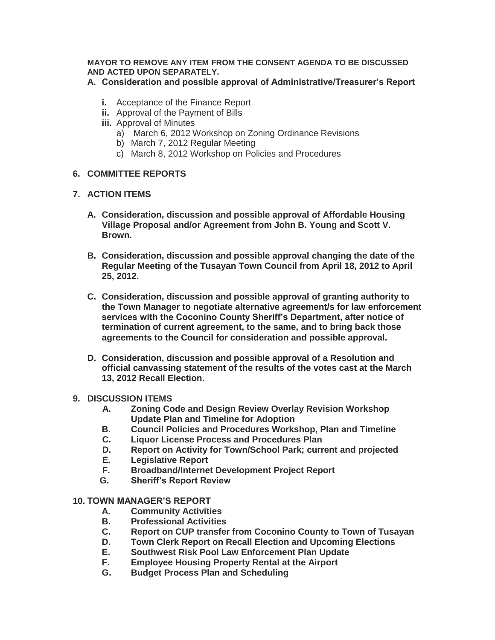## **MAYOR TO REMOVE ANY ITEM FROM THE CONSENT AGENDA TO BE DISCUSSED AND ACTED UPON SEPARATELY.**

## **A. Consideration and possible approval of Administrative/Treasurer's Report**

- **i.** Acceptance of the Finance Report
- **ii.** Approval of the Payment of Bills
- **iii.** Approval of Minutes
	- a) March 6, 2012 Workshop on Zoning Ordinance Revisions
	- b) March 7, 2012 Regular Meeting
	- c) March 8, 2012 Workshop on Policies and Procedures

# **6. COMMITTEE REPORTS**

# **7. ACTION ITEMS**

- **A. Consideration, discussion and possible approval of Affordable Housing Village Proposal and/or Agreement from John B. Young and Scott V. Brown.**
- **B. Consideration, discussion and possible approval changing the date of the Regular Meeting of the Tusayan Town Council from April 18, 2012 to April 25, 2012.**
- **C. Consideration, discussion and possible approval of granting authority to the Town Manager to negotiate alternative agreement/s for law enforcement services with the Coconino County Sheriff's Department, after notice of termination of current agreement, to the same, and to bring back those agreements to the Council for consideration and possible approval.**
- **D. Consideration, discussion and possible approval of a Resolution and official canvassing statement of the results of the votes cast at the March 13, 2012 Recall Election.**

## **9. DISCUSSION ITEMS**

- **A. Zoning Code and Design Review Overlay Revision Workshop Update Plan and Timeline for Adoption**
- **B. Council Policies and Procedures Workshop, Plan and Timeline**
- **C. Liquor License Process and Procedures Plan**
- **D. Report on Activity for Town/School Park; current and projected**
- **E. Legislative Report**
- **F. Broadband/Internet Development Project Report**
- **G. Sheriff's Report Review**

# **10. TOWN MANAGER'S REPORT**

- **A. Community Activities**
- **B. Professional Activities**
- **C. Report on CUP transfer from Coconino County to Town of Tusayan**
- **D. Town Clerk Report on Recall Election and Upcoming Elections**
- **E. Southwest Risk Pool Law Enforcement Plan Update**
- **F. Employee Housing Property Rental at the Airport**
- **G. Budget Process Plan and Scheduling**